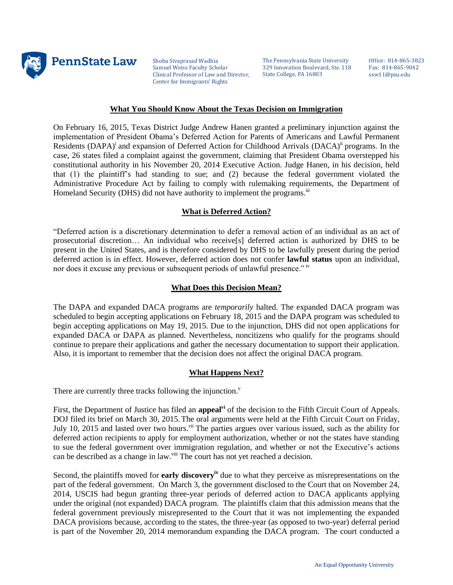

Shoba Sivaprasad Wadhia Samuel Weiss Faculty Scholar Clinical Professor of Law and Director, Center for Immigrants' Rights

The Pennsylvania State University 329 Innovation Boulevard, Ste. 118 State College, PA 16803

Office: 814-865-3823 Fax: 814-865-9042 ssw11@psu.edu

### **What You Should Know About the Texas Decision on Immigration**

On February 16, 2015, Texas District Judge Andrew Hanen granted a preliminary injunction against the implementation of President Obama's Deferred Action for Parents of Americans and Lawful Permanent Residents (DAPA)<sup>i</sup> and expansion of Deferred Action for Childhood Arrivals (DACA)<sup>ii</sup> programs. In the case, 26 states filed a complaint against the government, claiming that President Obama overstepped his constitutional authority in his November 20, 2014 Executive Action. Judge Hanen, in his decision, held that (1) the plaintiff's had standing to sue; and (2) because the federal government violated the Administrative Procedure Act by failing to comply with rulemaking requirements, the Department of Homeland Security (DHS) did not have authority to implement the programs.<sup>iii</sup>

## **What is Deferred Action?**

"Deferred action is a discretionary determination to defer a removal action of an individual as an act of prosecutorial discretion… An individual who receive[s] deferred action is authorized by DHS to be present in the United States, and is therefore considered by DHS to be lawfully present during the period deferred action is in effect. However, deferred action does not confer **lawful status** upon an individual, nor does it excuse any previous or subsequent periods of unlawful presence." iv

### **What Does this Decision Mean?**

The DAPA and expanded DACA programs are *temporarily* halted. The expanded DACA program was scheduled to begin accepting applications on February 18, 2015 and the DAPA program was scheduled to begin accepting applications on May 19, 2015. Due to the injunction, DHS did not open applications for expanded DACA or DAPA as planned. Nevertheless, noncitizens who qualify for the programs should continue to prepare their applications and gather the necessary documentation to support their application. Also, it is important to remember that the decision does not affect the original DACA program.

## **What Happens Next?**

There are currently three tracks following the injunction. $v$ 

First, the Department of Justice has filed an **appealvi** of the decision to the Fifth Circuit Court of Appeals. DOJ filed its brief on March 30, 2015. The oral arguments were held at the Fifth Circuit Court on Friday, July 10, 2015 and lasted over two hours.<sup>vii</sup> The parties argues over various issued, such as the ability for deferred action recipients to apply for employment authorization, whether or not the states have standing to sue the federal government over immigration regulation, and whether or not the Executive's actions can be described as a change in law.<sup>viii</sup> The court has not yet reached a decision.

Second, the plaintiffs moved for **early discovery**<sup>ix</sup> due to what they perceive as misrepresentations on the part of the federal government. On March 3, the government disclosed to the Court that on November 24, 2014, USCIS had begun granting three-year periods of deferred action to DACA applicants applying under the original (not expanded) DACA program. The plaintiffs claim that this admission means that the federal government previously misrepresented to the Court that it was not implementing the expanded DACA provisions because, according to the states, the three-year (as opposed to two-year) deferral period is part of the November 20, 2014 memorandum expanding the DACA program. The court conducted a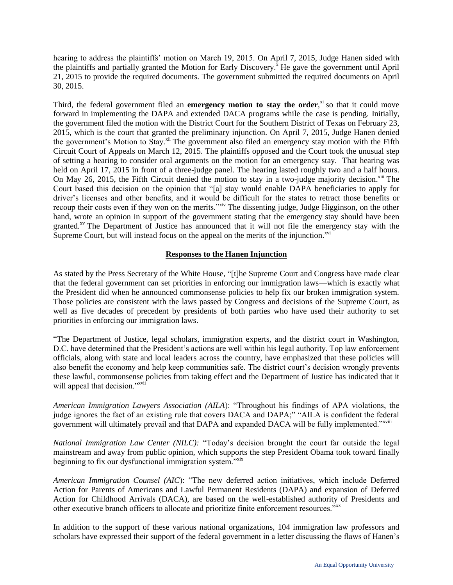hearing to address the plaintiffs' motion on March 19, 2015. On April 7, 2015, Judge Hanen sided with the plaintiffs and partially granted the Motion for Early Discovery.<sup>x</sup> He gave the government until April 21, 2015 to provide the required documents. The government submitted the required documents on April 30, 2015.

Third, the federal government filed an **emergency motion to stay the order**,<sup>xi</sup> so that it could move forward in implementing the DAPA and extended DACA programs while the case is pending. Initially, the government filed the motion with the District Court for the Southern District of Texas on February 23, 2015, which is the court that granted the preliminary injunction. On April 7, 2015, Judge Hanen denied the government's Motion to Stay.<sup>xii</sup> The government also filed an emergency stay motion with the Fifth Circuit Court of Appeals on March 12, 2015. The plaintiffs opposed and the Court took the unusual step of setting a hearing to consider oral arguments on the motion for an emergency stay. That hearing was held on April 17, 2015 in front of a three-judge panel. The hearing lasted roughly two and a half hours. On May 26, 2015, the Fifth Circuit denied the motion to stay in a two-judge majority decision.<sup>xiii</sup> The Court based this decision on the opinion that "[a] stay would enable DAPA beneficiaries to apply for driver's licenses and other benefits, and it would be difficult for the states to retract those benefits or recoup their costs even if they won on the merits."<sup>xiv</sup> The dissenting judge, Judge Higginson, on the other hand, wrote an opinion in support of the government stating that the emergency stay should have been granted.<sup>xv</sup> The Department of Justice has announced that it will not file the emergency stay with the Supreme Court, but will instead focus on the appeal on the merits of the injunction. $x^{0i}$ 

# **Responses to the Hanen Injunction**

As stated by the Press Secretary of the White House, "[t]he Supreme Court and Congress have made clear that the federal government can set priorities in enforcing our immigration laws—which is exactly what the President did when he announced commonsense policies to help fix our broken immigration system. Those policies are consistent with the laws passed by Congress and decisions of the Supreme Court, as well as five decades of precedent by presidents of both parties who have used their authority to set priorities in enforcing our immigration laws.

"The Department of Justice, legal scholars, immigration experts, and the district court in Washington, D.C. have determined that the President's actions are well within his legal authority. Top law enforcement officials, along with state and local leaders across the country, have emphasized that these policies will also benefit the economy and help keep communities safe. The district court's decision wrongly prevents these lawful, commonsense policies from taking effect and the Department of Justice has indicated that it will appeal that decision."<sup>xvii</sup>

*American Immigration Lawyers Association (AILA*): "Throughout his findings of APA violations, the judge ignores the fact of an existing rule that covers DACA and DAPA;" "AILA is confident the federal government will ultimately prevail and that DAPA and expanded DACA will be fully implemented."<sup>xviii</sup>

*National Immigration Law Center (NILC):* "Today's decision brought the court far outside the legal mainstream and away from public opinion, which supports the step President Obama took toward finally beginning to fix our dysfunctional immigration system."xix

*American Immigration Counsel (AIC*): "The new deferred action initiatives, which include Deferred Action for Parents of Americans and Lawful Permanent Residents (DAPA) and expansion of Deferred Action for Childhood Arrivals (DACA), are based on the well-established authority of Presidents and other executive branch officers to allocate and prioritize finite enforcement resources."xx

In addition to the support of these various national organizations, 104 immigration law professors and scholars have expressed their support of the federal government in a letter discussing the flaws of Hanen's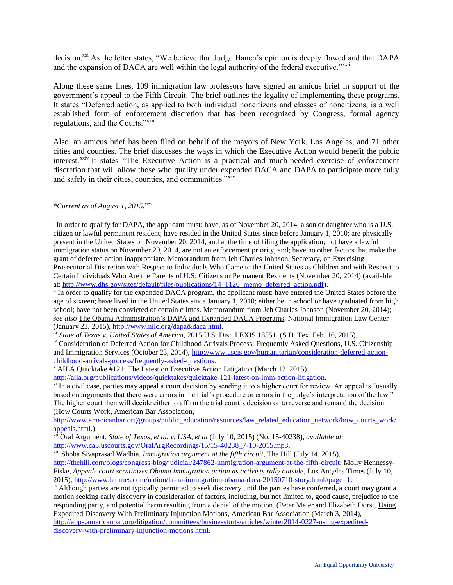decision.<sup>xxi</sup> As the letter states, "We believe that Judge Hanen's opinion is deeply flawed and that DAPA and the expansion of DACA are well within the legal authority of the federal executive."<sup>xxii</sup>

Along these same lines, 109 immigration law professors have signed an amicus brief in support of the government's appeal to the Fifth Circuit. The brief outlines the legality of implementing these programs. It states "Deferred action, as applied to both individual noncitizens and classes of noncitizens, is a well established form of enforcement discretion that has been recognized by Congress, formal agency regulations, and the Courts."<sup>xxiii</sup>

Also, an amicus brief has been filed on behalf of the mayors of New York, Los Angeles, and 71 other cities and counties. The brief discusses the ways in which the Executive Action would benefit the public interest.<sup>xxiv</sup> It states "The Executive Action is a practical and much-needed exercise of enforcement discretion that will allow those who qualify under expended DACA and DAPA to participate more fully and safely in their cities, counties, and communities."<sup>xxv</sup>

## *\*Current as of August 1, 2015.xxvi*

 $\overline{a}$ 

<sup>&</sup>lt;sup>i</sup> In order to qualify for DAPA, the applicant must: have, as of November 20, 2014, a son or daughter who is a U.S. citizen or lawful permanent resident; have resided in the United States since before January 1, 2010; are physically present in the United States on November 20, 2014, and at the time of filing the application; not have a lawful immigration status on November 20, 2014, are not an enforcement priority, and; have no other factors that make the grant of deferred action inappropriate. Memorandum from Jeh Charles Johnson, Secretary, on Exercising Prosecutorial Discretion with Respect to Individuals Who Came to the United States as Children and with Respect to Certain Individuals Who Are the Parents of U.S. Citizens or Permanent Residents (November 20, 2014) (available at: [http://www.dhs.gov/sites/default/files/publications/14\\_1120\\_memo\\_deferred\\_action.pdf\)](http://www.dhs.gov/sites/default/files/publications/14_1120_memo_deferred_action.pdf).

<sup>&</sup>lt;sup>ii</sup> In order to qualify for the expanded DACA program, the applicant must: have entered the United States before the age of sixteen; have lived in the United States since January 1, 2010; either be in school or have graduated from high school; have not been convicted of certain crimes. Memorandum from Jeh Charles Johnson (November 20, 2014); *see also* The Obama Administration's DAPA and Expanded DACA Programs, National Immigration Law Center (January 23, 2015), [http://www.nilc.org/dapa&daca.html.](http://www.nilc.org/dapa&daca.html)

iii *State of Texas v. United States of America*, 2015 U.S. Dist. LEXIS 18551. (S.D. Tex. Feb. 16, 2015).

iv Consideration of Deferred Action for Childhood Arrivals Process: Frequently Asked Questions, U.S. Citizenship and Immigration Services (October 23, 2014), [http://www.uscis.gov/humanitarian/consideration-deferred-action](http://www.uscis.gov/humanitarian/consideration-deferred-action-childhood-arrivals-process/frequently-asked-questions)[childhood-arrivals-process/frequently-asked-questions.](http://www.uscis.gov/humanitarian/consideration-deferred-action-childhood-arrivals-process/frequently-asked-questions)

 $\rm v$  AILA Quicktake #121: The Latest on Executive Action Litigation (March 12, 2015),

[http://aila.org/publications/videos/quicktakes/quicktake-121-latest-on-imm-action-litigation.](http://aila.org/publications/videos/quicktakes/quicktake-121-latest-on-imm-action-litigation)

 $\frac{v_i}{v}$  In a civil case, parties may appeal a court decision by sending it to a higher court for review. An appeal is "usually based on arguments that there were errors in the trial's procedure or errors in the judge's interpretation of the law." The higher court then will decide either to affirm the trial court's decision or to reverse and remand the decision. (How Courts Work, American Bar Association,

[http://www.americanbar.org/groups/public\\_education/resources/law\\_related\\_education\\_network/how\\_courts\\_work/](http://www.americanbar.org/groups/public_education/resources/law_related_education_network/how_courts_work/appeals.html) [appeals.html.](http://www.americanbar.org/groups/public_education/resources/law_related_education_network/how_courts_work/appeals.html))

vii Oral Argument, *State of Texas, et al. v. USA, et al* (July 10, 2015) (No. 15-40238), *available at:*  [http://www.ca5.uscourts.gov/OralArgRecordings/15/15-40238\\_7-10-2015.mp3.](http://www.ca5.uscourts.gov/OralArgRecordings/15/15-40238_7-10-2015.mp3)

viii Shoba Sivaprasad Wadhia, *Immigration argument at the fifth circuit*, The Hill (July 14, 2015),

[http://thehill.com/blogs/congress-blog/judicial/247862-immigration-argument-at-the-fifth-circuit;](http://thehill.com/blogs/congress-blog/judicial/247862-immigration-argument-at-the-fifth-circuit) Molly Hennessy-Fiske, *Appeals court scrutinizes Obama immigration action as activists rally outside*, Los Angeles Times (July 10, 2015), [http://www.latimes.com/nation/la-na-immigration-obama-daca-20150710-story.html#page=1.](http://www.latimes.com/nation/la-na-immigration-obama-daca-20150710-story.html#page=1)

ix Although parties are not typically permitted to seek discovery until the parties have conferred, a court may grant a motion seeking early discovery in consideration of factors, including, but not limited to, good cause, prejudice to the responding party, and potential harm resulting from a denial of the motion. (Peter Meier and Elizabeth Dorsi, Using Expedited Discovery With Preliminary Injunction Motions, American Bar Association (March 3, 2014), [http://apps.americanbar.org/litigation/committees/businesstorts/articles/winter2014-0227-using-expedited](http://apps.americanbar.org/litigation/committees/businesstorts/articles/winter2014-0227-using-expedited-discovery-with-preliminary-injunction-motions.html)[discovery-with-preliminary-injunction-motions.html.](http://apps.americanbar.org/litigation/committees/businesstorts/articles/winter2014-0227-using-expedited-discovery-with-preliminary-injunction-motions.html)